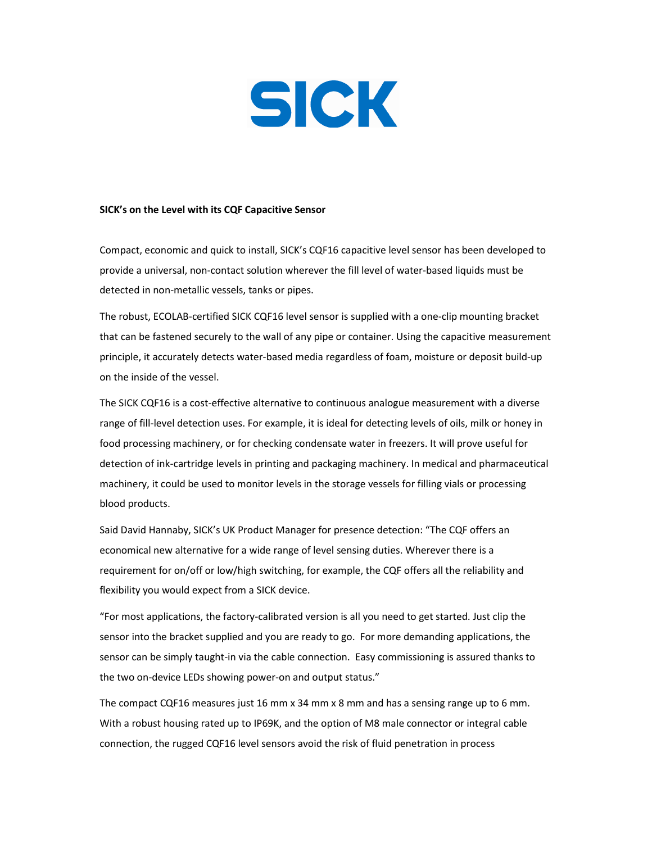

## SICK's on the Level with its CQF Capacitive Sensor

Compact, economic and quick to install, SICK's CQF16 capacitive level sensor has been developed to provide a universal, non-contact solution wherever the fill level of water-based liquids must be detected in non-metallic vessels, tanks or pipes.

The robust, ECOLAB-certified SICK CQF16 level sensor is supplied with a one-clip mounting bracket that can be fastened securely to the wall of any pipe or container. Using the capacitive measurement principle, it accurately detects water-based media regardless of foam, moisture or deposit build-up on the inside of the vessel.

The SICK CQF16 is a cost-effective alternative to continuous analogue measurement with a diverse range of fill-level detection uses. For example, it is ideal for detecting levels of oils, milk or honey in food processing machinery, or for checking condensate water in freezers. It will prove useful for detection of ink-cartridge levels in printing and packaging machinery. In medical and pharmaceutical machinery, it could be used to monitor levels in the storage vessels for filling vials or processing blood products.

Said David Hannaby, SICK's UK Product Manager for presence detection: "The CQF offers an economical new alternative for a wide range of level sensing duties. Wherever there is a requirement for on/off or low/high switching, for example, the CQF offers all the reliability and flexibility you would expect from a SICK device.

"For most applications, the factory-calibrated version is all you need to get started. Just clip the sensor into the bracket supplied and you are ready to go. For more demanding applications, the sensor can be simply taught-in via the cable connection. Easy commissioning is assured thanks to the two on-device LEDs showing power-on and output status."

The compact CQF16 measures just 16 mm x 34 mm x 8 mm and has a sensing range up to 6 mm. With a robust housing rated up to IP69K, and the option of M8 male connector or integral cable connection, the rugged CQF16 level sensors avoid the risk of fluid penetration in process